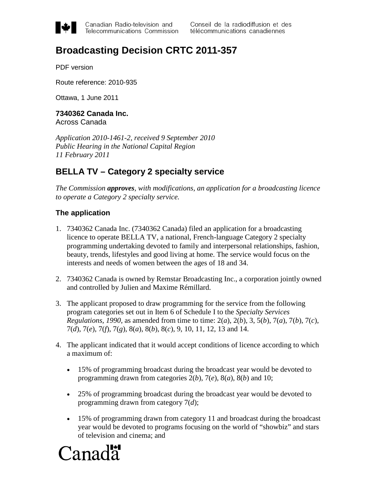

Canadian Radio-television and Telecommunications Commission

# **Broadcasting Decision CRTC 2011-357**

PDF version

Route reference: 2010-935

Ottawa, 1 June 2011

**7340362 Canada Inc.** Across Canada

*Application 2010-1461-2, received 9 September 2010 Public Hearing in the National Capital Region 11 February 2011*

# **BELLA TV – Category 2 specialty service**

*The Commission approves, with modifications, an application for a broadcasting licence to operate a Category 2 specialty service.*

#### **The application**

- 1. 7340362 Canada Inc. (7340362 Canada) filed an application for a broadcasting licence to operate BELLA TV, a national, French-language Category 2 specialty programming undertaking devoted to family and interpersonal relationships, fashion, beauty, trends, lifestyles and good living at home. The service would focus on the interests and needs of women between the ages of 18 and 34.
- 2. 7340362 Canada is owned by Remstar Broadcasting Inc., a corporation jointly owned and controlled by Julien and Maxime Rémillard.
- 3. The applicant proposed to draw programming for the service from the following program categories set out in Item 6 of Schedule I to the *Specialty Services Regulations, 1990*, as amended from time to time: 2(*a*), 2(*b*), 3, 5(*b*), 7(*a*), 7(*b*), 7(*c*), 7(*d*), 7(*e*), 7(*f*), 7(*g*), 8(*a*), 8(*b*), 8(*c*), 9, 10, 11, 12, 13 and 14.
- 4. The applicant indicated that it would accept conditions of licence according to which a maximum of:
	- 15% of programming broadcast during the broadcast year would be devoted to programming drawn from categories 2(*b*), 7(*e*), 8(*a*), 8(*b*) and 10;
	- 25% of programming broadcast during the broadcast year would be devoted to programming drawn from category 7(*d*);
	- 15% of programming drawn from category 11 and broadcast during the broadcast year would be devoted to programs focusing on the world of "showbiz" and stars of television and cinema; and

# Canada<sup>r</sup>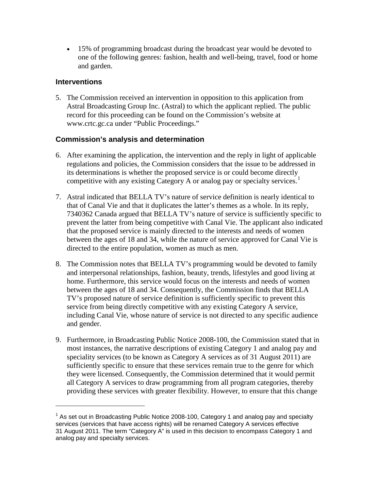• 15% of programming broadcast during the broadcast year would be devoted to one of the following genres: fashion, health and well-being, travel, food or home and garden.

#### **Interventions**

 $\overline{a}$ 

5. The Commission received an intervention in opposition to this application from Astral Broadcasting Group Inc. (Astral) to which the applicant replied. The public record for this proceeding can be found on the Commission's website at www.crtc.gc.ca under "Public Proceedings."

## **Commission's analysis and determination**

- 6. After examining the application, the intervention and the reply in light of applicable regulations and policies, the Commission considers that the issue to be addressed in its determinations is whether the proposed service is or could become directly competitive with any existing Category A or analog pay or specialty services.<sup>[1](#page-1-0)</sup>
- 7. Astral indicated that BELLA TV's nature of service definition is nearly identical to that of Canal Vie and that it duplicates the latter's themes as a whole. In its reply, 7340362 Canada argued that BELLA TV's nature of service is sufficiently specific to prevent the latter from being competitive with Canal Vie. The applicant also indicated that the proposed service is mainly directed to the interests and needs of women between the ages of 18 and 34, while the nature of service approved for Canal Vie is directed to the entire population, women as much as men.
- 8. The Commission notes that BELLA TV's programming would be devoted to family and interpersonal relationships, fashion, beauty, trends, lifestyles and good living at home. Furthermore, this service would focus on the interests and needs of women between the ages of 18 and 34. Consequently, the Commission finds that BELLA TV's proposed nature of service definition is sufficiently specific to prevent this service from being directly competitive with any existing Category A service, including Canal Vie, whose nature of service is not directed to any specific audience and gender.
- 9. Furthermore, in Broadcasting Public Notice 2008-100, the Commission stated that in most instances, the narrative descriptions of existing Category 1 and analog pay and speciality services (to be known as Category A services as of 31 August 2011) are sufficiently specific to ensure that these services remain true to the genre for which they were licensed. Consequently, the Commission determined that it would permit all Category A services to draw programming from all program categories, thereby providing these services with greater flexibility. However, to ensure that this change

<span id="page-1-0"></span> $1$  As set out in Broadcasting Public Notice 2008-100, Category 1 and analog pay and specialty services (services that have access rights) will be renamed Category A services effective 31 August 2011. The term "Category A" is used in this decision to encompass Category 1 and analog pay and specialty services.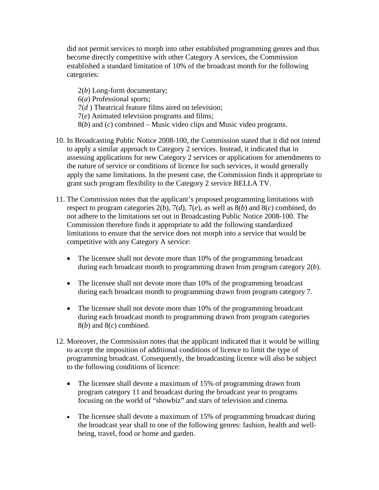did not permit services to morph into other established programming genres and thus become directly competitive with other Category A services, the Commission established a standard limitation of 10% of the broadcast month for the following categories:

2(*b*) Long-form documentary; 6(*a*) Professional sports; 7(*d* ) Theatrical feature films aired on television; 7(*e*) Animated television programs and films; 8(*b*) and (*c*) combined – Music video clips and Music video programs.

- 10. In Broadcasting Public Notice 2008-100, the Commission stated that it did not intend to apply a similar approach to Category 2 services. Instead, it indicated that in assessing applications for new Category 2 services or applications for amendments to the nature of service or conditions of licence for such services, it would generally apply the same limitations. In the present case, the Commission finds it appropriate to grant such program flexibility to the Category 2 service BELLA TV.
- 11. The Commission notes that the applicant's proposed programming limitations with respect to program categories 2(*b*), 7(*d*), 7(*e*), as well as 8(*b*) and 8(*c*) combined, do not adhere to the limitations set out in Broadcasting Public Notice 2008-100. The Commission therefore finds it appropriate to add the following standardized limitations to ensure that the service does not morph into a service that would be competitive with any Category A service:
	- The licensee shall not devote more than 10% of the programming broadcast during each broadcast month to programming drawn from program category 2(*b*).
	- The licensee shall not devote more than 10% of the programming broadcast during each broadcast month to programming drawn from program category 7.
	- The licensee shall not devote more than 10% of the programming broadcast during each broadcast month to programming drawn from program categories 8(*b*) and 8(*c*) combined.
- 12. Moreover, the Commission notes that the applicant indicated that it would be willing to accept the imposition of additional conditions of licence to limit the type of programming broadcast. Consequently, the broadcasting licence will also be subject to the following conditions of licence:
	- The licensee shall devote a maximum of 15% of programming drawn from program category 11 and broadcast during the broadcast year to programs focusing on the world of "showbiz" and stars of television and cinema.
	- The licensee shall devote a maximum of 15% of programming broadcast during the broadcast year shall to one of the following genres: fashion, health and wellbeing, travel, food or home and garden.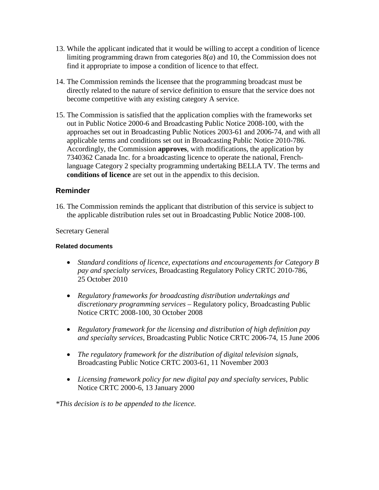- 13. While the applicant indicated that it would be willing to accept a condition of licence limiting programming drawn from categories 8(*a*) and 10, the Commission does not find it appropriate to impose a condition of licence to that effect.
- 14. The Commission reminds the licensee that the programming broadcast must be directly related to the nature of service definition to ensure that the service does not become competitive with any existing category A service.
- 15. The Commission is satisfied that the application complies with the frameworks set out in Public Notice 2000-6 and Broadcasting Public Notice 2008-100, with the approaches set out in Broadcasting Public Notices 2003-61 and 2006-74, and with all applicable terms and conditions set out in Broadcasting Public Notice 2010-786. Accordingly, the Commission **approves**, with modifications, the application by 7340362 Canada Inc. for a broadcasting licence to operate the national, Frenchlanguage Category 2 specialty programming undertaking BELLA TV. The terms and **conditions of licence** are set out in the appendix to this decision.

#### **Reminder**

16. The Commission reminds the applicant that distribution of this service is subject to the applicable distribution rules set out in Broadcasting Public Notice 2008-100.

#### Secretary General

#### **Related documents**

- *Standard conditions of licence, expectations and encouragements for Category B pay and specialty services*, Broadcasting Regulatory Policy CRTC 2010-786, 25 October 2010
- *Regulatory frameworks for broadcasting distribution undertakings and discretionary programming services* – Regulatory policy, Broadcasting Public Notice CRTC 2008-100, 30 October 2008
- *Regulatory framework for the licensing and distribution of high definition pay and specialty services*, Broadcasting Public Notice CRTC 2006-74, 15 June 2006
- *The regulatory framework for the distribution of digital television signals*, Broadcasting Public Notice CRTC 2003-61, 11 November 2003
- *Licensing framework policy for new digital pay and specialty services*, Public Notice CRTC 2000-6, 13 January 2000

*\*This decision is to be appended to the licence.*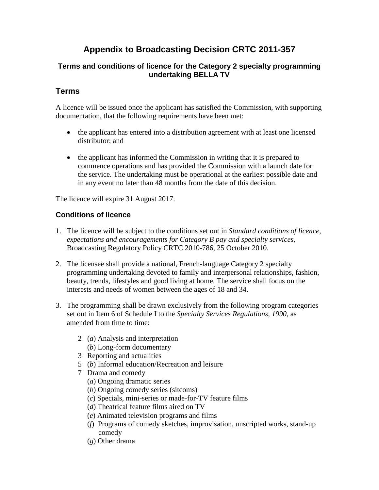# **Appendix to Broadcasting Decision CRTC 2011-357**

## **Terms and conditions of licence for the Category 2 specialty programming undertaking BELLA TV**

# **Terms**

A licence will be issued once the applicant has satisfied the Commission, with supporting documentation, that the following requirements have been met:

- the applicant has entered into a distribution agreement with at least one licensed distributor; and
- the applicant has informed the Commission in writing that it is prepared to commence operations and has provided the Commission with a launch date for the service. The undertaking must be operational at the earliest possible date and in any event no later than 48 months from the date of this decision.

The licence will expire 31 August 2017.

## **Conditions of licence**

- 1. The licence will be subject to the conditions set out in *Standard conditions of licence, expectations and encouragements for Category B pay and specialty services*, Broadcasting Regulatory Policy CRTC 2010-786, 25 October 2010.
- 2. The licensee shall provide a national, French-language Category 2 specialty programming undertaking devoted to family and interpersonal relationships, fashion, beauty, trends, lifestyles and good living at home. The service shall focus on the interests and needs of women between the ages of 18 and 34.
- 3. The programming shall be drawn exclusively from the following program categories set out in Item 6 of Schedule I to the *Specialty Services Regulations, 1990*, as amended from time to time:
	- 2 (*a*) Analysis and interpretation (*b*) Long-form documentary
	- 3 Reporting and actualities
	- 5 (*b*) Informal education/Recreation and leisure
	- 7 Drama and comedy
		- (*a*) Ongoing dramatic series
		- (*b*) Ongoing comedy series (sitcoms)
		- (*c*) Specials, mini-series or made-for-TV feature films
		- (*d*) Theatrical feature films aired on TV
		- (*e*) Animated television programs and films
		- (*f*) Programs of comedy sketches, improvisation, unscripted works, stand-up comedy
		- (*g*) Other drama